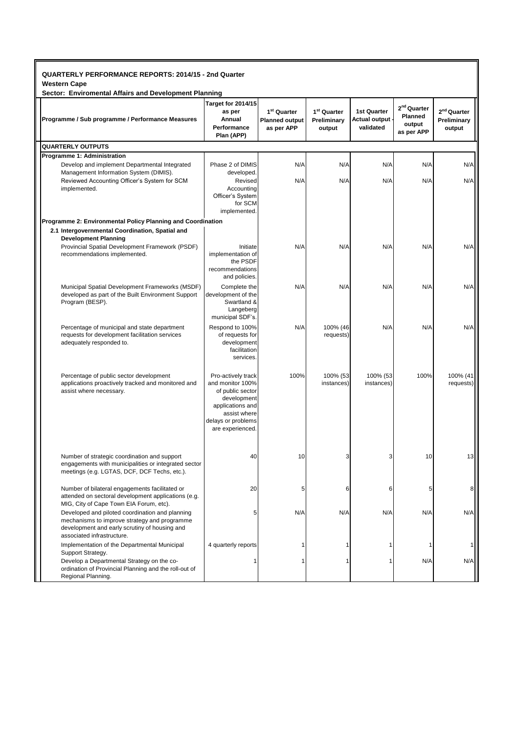| QUARTERLY PERFORMANCE REPORTS: 2014/15 - 2nd Quarter |  |
|------------------------------------------------------|--|
|                                                      |  |

**Western Cape**

| Sector: Enviromental Affairs and Development Planning                                                                                                                          |                                                                                                                                                         |                                                                |                                                  |                                                  |                                                            |                                                  |  |  |
|--------------------------------------------------------------------------------------------------------------------------------------------------------------------------------|---------------------------------------------------------------------------------------------------------------------------------------------------------|----------------------------------------------------------------|--------------------------------------------------|--------------------------------------------------|------------------------------------------------------------|--------------------------------------------------|--|--|
| Programme / Sub programme / Performance Measures                                                                                                                               | Target for 2014/15<br>as per<br>Annual<br>Performance<br>Plan (APP)                                                                                     | 1 <sup>st</sup> Quarter<br><b>Planned output</b><br>as per APP | 1 <sup>st</sup> Quarter<br>Preliminary<br>output | <b>1st Quarter</b><br>Actual output<br>validated | 2 <sup>nd</sup> Quarter<br>Planned<br>output<br>as per APP | 2 <sup>nd</sup> Quarter<br>Preliminary<br>output |  |  |
| <b>QUARTERLY OUTPUTS</b>                                                                                                                                                       |                                                                                                                                                         |                                                                |                                                  |                                                  |                                                            |                                                  |  |  |
| Programme 1: Administration                                                                                                                                                    |                                                                                                                                                         |                                                                |                                                  |                                                  |                                                            |                                                  |  |  |
| Develop and implement Departmental Integrated                                                                                                                                  | Phase 2 of DIMIS                                                                                                                                        | N/A                                                            | N/A                                              | N/A                                              | N/A                                                        | N/A                                              |  |  |
| Management Information System (DIMIS).<br>Reviewed Accounting Officer's System for SCM<br>implemented.                                                                         | developed.<br>Revised<br>Accounting<br>Officer's System<br>for SCM                                                                                      | N/A                                                            | N/A                                              | N/A                                              | N/A                                                        | N/A                                              |  |  |
|                                                                                                                                                                                | implemented.                                                                                                                                            |                                                                |                                                  |                                                  |                                                            |                                                  |  |  |
| Programme 2: Environmental Policy Planning and Coordination                                                                                                                    |                                                                                                                                                         |                                                                |                                                  |                                                  |                                                            |                                                  |  |  |
| 2.1 Intergovernmental Coordination, Spatial and<br><b>Development Planning</b>                                                                                                 |                                                                                                                                                         |                                                                |                                                  |                                                  |                                                            |                                                  |  |  |
| Provincial Spatial Development Framework (PSDF)<br>recommendations implemented.                                                                                                | Initiate<br>implementation of<br>the PSDF<br>recommendations<br>and policies.                                                                           | N/A                                                            | N/A                                              | N/A                                              | N/A                                                        | N/A                                              |  |  |
| Municipal Spatial Development Frameworks (MSDF)<br>developed as part of the Built Environment Support<br>Program (BESP).                                                       | Complete the<br>development of the<br>Swartland &<br>Langeberg<br>municipal SDF's.                                                                      | N/A                                                            | N/A                                              | N/A                                              | N/A                                                        | N/A                                              |  |  |
| Percentage of municipal and state department<br>requests for development facilitation services<br>adequately responded to.                                                     | Respond to 100%<br>of requests for<br>development<br>facilitation<br>services.                                                                          | N/A                                                            | 100% (46<br>requests)                            | N/A                                              | N/A                                                        | N/A                                              |  |  |
| Percentage of public sector development<br>applications proactively tracked and monitored and<br>assist where necessary.                                                       | Pro-actively track<br>and monitor 100%<br>of public sector<br>development<br>applications and<br>assist where<br>delays or problems<br>are experienced. | 100%                                                           | 100% (53<br>instances)                           | 100% (53<br>instances)                           | 100%                                                       | 100% (41<br>requests)                            |  |  |
| Number of strategic coordination and support<br>engagements with municipalities or integrated sector<br>meetings (e.g. LGTAS, DCF, DCF Techs, etc.).                           | 40                                                                                                                                                      | 10                                                             | 3                                                | 3                                                | 10                                                         | 13                                               |  |  |
| Number of bilateral engagements facilitated or<br>attended on sectoral development applications (e.g.<br>MIG, City of Cape Town EIA Forum, etc).                               | 20                                                                                                                                                      | 5                                                              | 6                                                | 6                                                | 5                                                          |                                                  |  |  |
| Developed and piloted coordination and planning<br>mechanisms to improve strategy and programme<br>development and early scrutiny of housing and<br>associated infrastructure. | 5                                                                                                                                                       | N/A                                                            | N/A                                              | N/A                                              | N/A                                                        | N/A                                              |  |  |
| Implementation of the Departmental Municipal<br>Support Strategy.                                                                                                              | 4 quarterly reports                                                                                                                                     |                                                                |                                                  |                                                  |                                                            |                                                  |  |  |
| Develop a Departmental Strategy on the co-<br>ordination of Provincial Planning and the roll-out of<br>Regional Planning.                                                      |                                                                                                                                                         |                                                                |                                                  |                                                  | N/A                                                        | N/A                                              |  |  |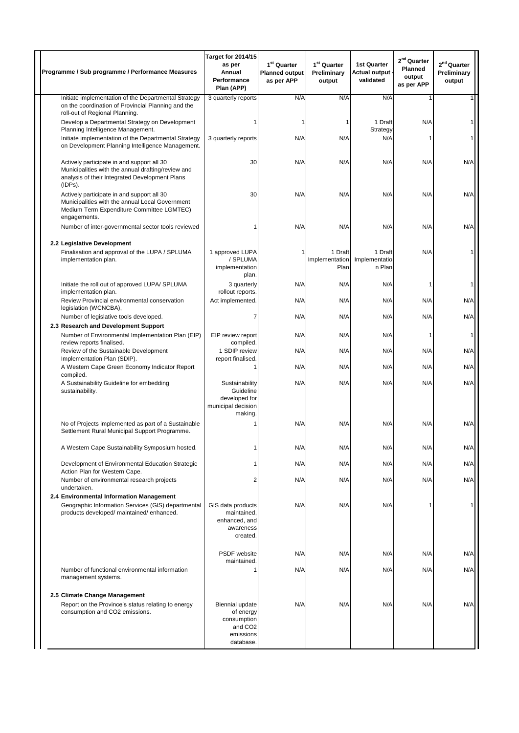| Programme / Sub programme / Performance Measures                                                                                                              | Target for 2014/15<br>as per<br>Annual<br>Performance<br>Plan (APP)                          | 1 <sup>st</sup> Quarter<br><b>Planned output</b><br>as per APP | 1 <sup>st</sup> Quarter<br>Preliminary<br>output | <b>1st Quarter</b><br>Actual output -<br>validated | $2nd$ Quarter<br>Planned<br>output<br>as per APP | 2 <sup>nd</sup> Quarter<br>Preliminary<br>output |
|---------------------------------------------------------------------------------------------------------------------------------------------------------------|----------------------------------------------------------------------------------------------|----------------------------------------------------------------|--------------------------------------------------|----------------------------------------------------|--------------------------------------------------|--------------------------------------------------|
| Initiate implementation of the Departmental Strategy<br>on the coordination of Provincial Planning and the<br>roll-out of Regional Planning.                  | 3 quarterly reports                                                                          | N/A                                                            | N/A                                              | N/A                                                |                                                  |                                                  |
| Develop a Departmental Strategy on Development<br>Planning Intelligence Management.                                                                           |                                                                                              |                                                                | 1                                                | 1 Draft<br>Strategy                                | N/A                                              |                                                  |
| Initiate implementation of the Departmental Strategy<br>on Development Planning Intelligence Management.                                                      | 3 quarterly reports                                                                          | N/A                                                            | N/A                                              | N/A                                                |                                                  |                                                  |
| Actively participate in and support all 30<br>Municipalities with the annual drafting/review and<br>analysis of their Integrated Development Plans<br>(IDPs). | 30                                                                                           | N/A                                                            | N/A                                              | N/A                                                | N/A                                              | N/A                                              |
| Actively participate in and support all 30<br>Municipalities with the annual Local Government<br>Medium Term Expenditure Committee LGMTEC)<br>engagements.    | 30                                                                                           | N/A                                                            | N/A                                              | N/A                                                | N/A                                              | N/A                                              |
| Number of inter-governmental sector tools reviewed                                                                                                            |                                                                                              | N/A                                                            | N/A                                              | N/A                                                | N/A                                              | N/A                                              |
| 2.2 Legislative Development<br>Finalisation and approval of the LUPA / SPLUMA<br>implementation plan.                                                         | 1 approved LUPA<br>/ SPLUMA<br>implementation<br>plan.                                       |                                                                | 1 Draft<br>Implementation<br>Plan                | 1 Draft<br>Implementatio<br>n Plan                 | N/A                                              |                                                  |
| Initiate the roll out of approved LUPA/ SPLUMA<br>implementation plan.                                                                                        | 3 quarterly<br>rollout reports.                                                              | N/A                                                            | N/A                                              | N/A                                                |                                                  | 1                                                |
| Review Provincial environmental conservation<br>legislation (WCNCBA),                                                                                         | Act implemented.                                                                             | N/A                                                            | N/A                                              | N/A                                                | N/A                                              | N/A                                              |
| Number of legislative tools developed.                                                                                                                        |                                                                                              | N/A                                                            | N/A                                              | N/A                                                | N/A                                              | N/A                                              |
| 2.3 Research and Development Support<br>Number of Environmental Implementation Plan (EIP)<br>review reports finalised.                                        | EIP review report<br>compiled.                                                               | N/A                                                            | N/A                                              | N/A                                                |                                                  |                                                  |
| Review of the Sustainable Development<br>Implementation Plan (SDIP).                                                                                          | 1 SDIP review<br>report finalised                                                            | N/A                                                            | N/A                                              | N/A                                                | N/A                                              | N/A                                              |
| A Western Cape Green Economy Indicator Report<br>compiled.                                                                                                    |                                                                                              | N/A                                                            | N/A                                              | N/A                                                | N/A                                              | N/A                                              |
| A Sustainability Guideline for embedding<br>sustainability.                                                                                                   | Sustainability<br>Guideline<br>developed for<br>municipal decision<br>making.                | N/A                                                            | N/A                                              | N/A                                                | N/A                                              | N/A                                              |
| No of Projects implemented as part of a Sustainable<br>Settlement Rural Municipal Support Programme.                                                          |                                                                                              | N/A                                                            | N/A                                              | N/A                                                | N/A                                              | N/A                                              |
| A Western Cape Sustainability Symposium hosted.                                                                                                               |                                                                                              | N/A                                                            | N/A                                              | N/A                                                | N/A                                              | N/A                                              |
| Development of Environmental Education Strategic<br>Action Plan for Western Cape.                                                                             |                                                                                              | N/A                                                            | N/A                                              | N/A                                                | N/A                                              | N/A                                              |
| Number of environmental research projects<br>undertaken.                                                                                                      |                                                                                              | N/A                                                            | N/A                                              | N/A                                                | N/A                                              | N/A                                              |
| 2.4 Environmental Information Management<br>Geographic Information Services (GIS) departmental<br>products developed/ maintained/ enhanced.                   | GIS data products<br>maintained,<br>enhanced, and<br>awareness<br>created.                   | N/A                                                            | N/A                                              | N/A                                                |                                                  | 1                                                |
|                                                                                                                                                               | PSDF website                                                                                 | N/A                                                            | N/A                                              | N/A                                                | N/A                                              | N/A                                              |
| Number of functional environmental information<br>management systems.                                                                                         | maintained.                                                                                  | N/A                                                            | N/A                                              | N/A                                                | N/A                                              | N/A                                              |
| 2.5 Climate Change Management<br>Report on the Province's status relating to energy<br>consumption and CO2 emissions.                                         | Biennial update<br>of energy<br>consumption<br>and CO <sub>2</sub><br>emissions<br>database. | N/A                                                            | N/A                                              | N/A                                                | N/A                                              | N/A                                              |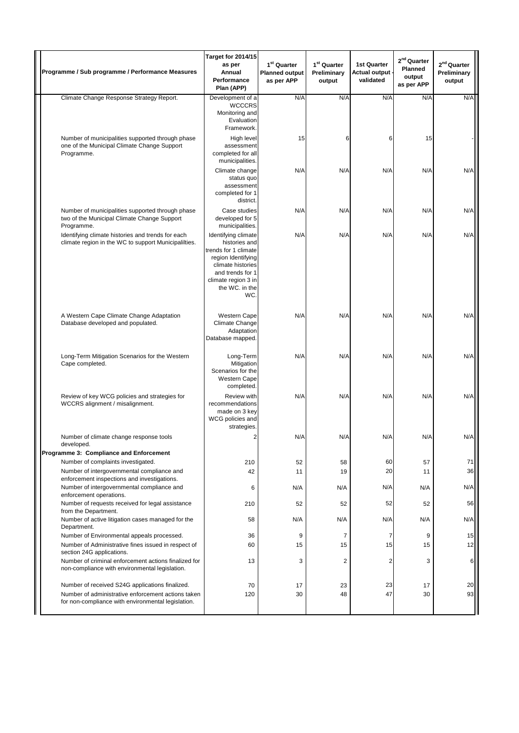| Programme / Sub programme / Performance Measures                                                              | <b>Target for 2014/15</b><br>as per<br>Annual<br>Performance<br>Plan (APP)                                                                                                  | 1 <sup>st</sup> Quarter<br><b>Planned output</b><br>as per APP | 1 <sup>st</sup> Quarter<br>Preliminary<br>output | <b>1st Quarter</b><br>Actual output -<br>validated | $2nd$ Quarter<br>Planned<br>output<br>as per APP | $2nd$ Quarter<br>Preliminary<br>output |
|---------------------------------------------------------------------------------------------------------------|-----------------------------------------------------------------------------------------------------------------------------------------------------------------------------|----------------------------------------------------------------|--------------------------------------------------|----------------------------------------------------|--------------------------------------------------|----------------------------------------|
| Climate Change Response Strategy Report.                                                                      | Development of a<br><b>WCCCRS</b><br>Monitoring and<br>Evaluation<br>Framework.                                                                                             | N/A                                                            | N/A                                              | N/A                                                | N/A                                              | N/A                                    |
| Number of municipalities supported through phase<br>one of the Municipal Climate Change Support<br>Programme. | High level<br>assessment<br>completed for all<br>municipalities.                                                                                                            | 15                                                             | 6                                                | 6                                                  | 15                                               |                                        |
|                                                                                                               | Climate change<br>status quo<br>assessment<br>completed for 1<br>district.                                                                                                  | N/A                                                            | N/A                                              | N/A                                                | N/A                                              | N/A                                    |
| Number of municipalities supported through phase<br>two of the Municipal Climate Change Support<br>Programme. | Case studies<br>developed for 5<br>municipalities.                                                                                                                          | N/A                                                            | N/A                                              | N/A                                                | N/A                                              | N/A                                    |
| Identifying climate histories and trends for each<br>climate region in the WC to support Municipalilties.     | Identifying climate<br>histories and<br>trends for 1 climate<br>region Identifying<br>climate histories<br>and trends for 1<br>climate region 3 in<br>the WC. in the<br>WC. | N/A                                                            | N/A                                              | N/A                                                | N/A                                              | N/A                                    |
| A Western Cape Climate Change Adaptation<br>Database developed and populated.                                 | <b>Western Cape</b><br>Climate Change<br>Adaptation<br>Database mapped.                                                                                                     | N/A                                                            | N/A                                              | N/A                                                | N/A                                              | N/A                                    |
| Long-Term Mitigation Scenarios for the Western<br>Cape completed.                                             | Long-Term<br>Mitigation<br>Scenarios for the<br><b>Western Cape</b><br>completed.                                                                                           | N/A                                                            | N/A                                              | N/A                                                | N/A                                              | N/A                                    |
| Review of key WCG policies and strategies for<br>WCCRS alignment / misalignment.                              | Review with<br>recommendations<br>made on 3 key<br>WCG policies and<br>strategies.                                                                                          | N/A                                                            | N/A                                              | N/A                                                | N/A                                              | N/A                                    |
| Number of climate change response tools<br>developed.                                                         | $\overline{2}$                                                                                                                                                              | N/A                                                            | N/A                                              | N/A                                                | N/A                                              | N/A                                    |
| Programme 3: Compliance and Enforcement                                                                       |                                                                                                                                                                             |                                                                |                                                  |                                                    |                                                  |                                        |
| Number of complaints investigated.<br>Number of intergovernmental compliance and                              | 210<br>42                                                                                                                                                                   | 52<br>11                                                       | 58<br>19                                         | 60<br>20                                           | 57<br>11                                         | 71<br>36                               |
| enforcement inspections and investigations.<br>Number of intergovernmental compliance and                     | 6                                                                                                                                                                           | N/A                                                            | N/A                                              | N/A                                                | N/A                                              | N/A                                    |
| enforcement operations.<br>Number of requests received for legal assistance                                   | 210                                                                                                                                                                         | 52                                                             | 52                                               | 52                                                 | 52                                               | 56                                     |
| from the Department.                                                                                          |                                                                                                                                                                             |                                                                |                                                  |                                                    |                                                  |                                        |
| Number of active litigation cases managed for the<br>Department.                                              | 58                                                                                                                                                                          | N/A                                                            | N/A                                              | N/A                                                | N/A                                              | N/A                                    |
| Number of Environmental appeals processed.                                                                    | 36                                                                                                                                                                          | 9                                                              | 7                                                | $\overline{7}$                                     | 9                                                | 15                                     |
| Number of Administrative fines issued in respect of<br>section 24G applications.                              | 60                                                                                                                                                                          | 15                                                             | 15                                               | 15                                                 | 15                                               | 12                                     |
| Number of criminal enforcement actions finalized for<br>non-compliance with environmental legislation.        | 13                                                                                                                                                                          | 3                                                              | $\overline{2}$                                   | 2                                                  | 3                                                | 6                                      |
| Number of received S24G applications finalized.                                                               | 70                                                                                                                                                                          | 17                                                             | 23                                               | 23                                                 | 17                                               | 20                                     |
| Number of administrative enforcement actions taken<br>for non-compliance with environmental legislation.      | 120                                                                                                                                                                         | 30                                                             | 48                                               | 47                                                 | 30                                               | 93                                     |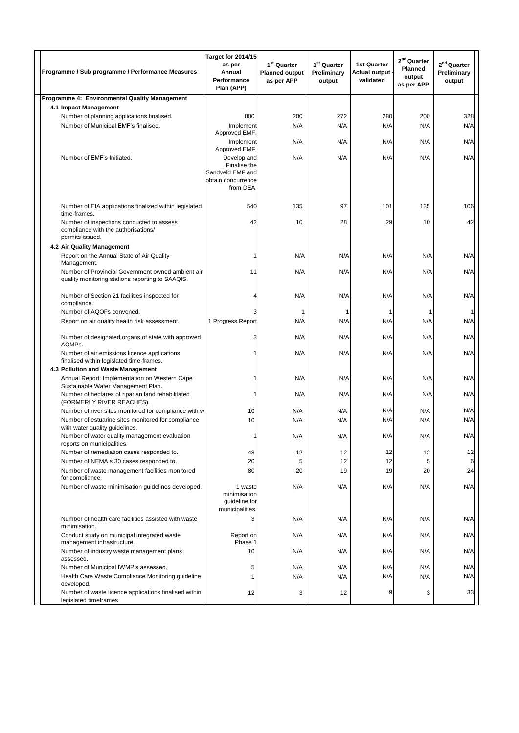| Programme / Sub programme / Performance Measures                                                    |                                                                                                       | Target for 2014/15<br>as per<br>Annual<br>Performance<br>Plan (APP)               | 1 <sup>st</sup> Quarter<br><b>Planned output</b><br>as per APP | 1 <sup>st</sup> Quarter<br>Preliminary<br>output | <b>1st Quarter</b><br>Actual output -<br>validated | $2nd$ Quarter<br>Planned<br>output<br>as per APP | $2nd$ Quarter<br>Preliminary<br>output |
|-----------------------------------------------------------------------------------------------------|-------------------------------------------------------------------------------------------------------|-----------------------------------------------------------------------------------|----------------------------------------------------------------|--------------------------------------------------|----------------------------------------------------|--------------------------------------------------|----------------------------------------|
| Programme 4: Environmental Quality Management                                                       |                                                                                                       |                                                                                   |                                                                |                                                  |                                                    |                                                  |                                        |
| 4.1 Impact Management                                                                               |                                                                                                       |                                                                                   |                                                                |                                                  |                                                    |                                                  |                                        |
| Number of planning applications finalised.                                                          |                                                                                                       | 800                                                                               | 200                                                            | 272                                              | 280                                                | 200                                              | 328                                    |
| Number of Municipal EMF's finalised.                                                                |                                                                                                       | Implement                                                                         | N/A                                                            | N/A                                              | N/A                                                | N/A                                              | N/A                                    |
|                                                                                                     |                                                                                                       | Approved EMF.<br>Implement                                                        | N/A                                                            | N/A                                              | N/A                                                | N/A                                              | N/A                                    |
|                                                                                                     |                                                                                                       | Approved EMF.                                                                     |                                                                |                                                  |                                                    |                                                  |                                        |
| Number of EMF's Initiated.                                                                          |                                                                                                       | Develop and<br>Finalise the<br>Sandveld EMF and<br>obtain concurrence<br>from DEA | N/A                                                            | N/A                                              | N/A                                                | N/A                                              | N/A                                    |
| time-frames.                                                                                        | Number of EIA applications finalized within legislated                                                | 540                                                                               | 135                                                            | 97                                               | 101                                                | 135                                              | 106                                    |
| Number of inspections conducted to assess<br>compliance with the authorisations/<br>permits issued. |                                                                                                       | 42                                                                                | 10                                                             | 28                                               | 29                                                 | 10                                               | 42                                     |
| 4.2 Air Quality Management                                                                          |                                                                                                       |                                                                                   |                                                                |                                                  |                                                    |                                                  |                                        |
| Report on the Annual State of Air Quality<br>Management.                                            |                                                                                                       |                                                                                   | N/A                                                            | N/A                                              | N/A                                                | N/A                                              | N/A                                    |
|                                                                                                     | Number of Provincial Government owned ambient air<br>quality monitoring stations reporting to SAAQIS. | 11                                                                                | N/A                                                            | N/A                                              | N/A                                                | N/A                                              | N/A                                    |
| Number of Section 21 facilities inspected for<br>compliance.                                        |                                                                                                       |                                                                                   | N/A                                                            | N/A                                              | N/A                                                | N/A                                              | N/A                                    |
| Number of AQOFs convened.                                                                           |                                                                                                       | 3                                                                                 | -1                                                             | -1                                               | 1                                                  | 1                                                | 1                                      |
| Report on air quality health risk assessment.                                                       |                                                                                                       | 1 Progress Report                                                                 | N/A                                                            | N/A                                              | N/A                                                | N/A                                              | N/A                                    |
| AQMPs.                                                                                              | Number of designated organs of state with approved                                                    | 3                                                                                 | N/A                                                            | N/A                                              | N/A                                                | N/A                                              | N/A                                    |
| Number of air emissions licence applications<br>finalised within legislated time-frames.            |                                                                                                       |                                                                                   | N/A                                                            | N/A                                              | N/A                                                | N/A                                              | N/A                                    |
| 4.3 Pollution and Waste Management                                                                  |                                                                                                       |                                                                                   |                                                                |                                                  |                                                    |                                                  |                                        |
| Sustainable Water Management Plan.                                                                  | Annual Report: Implementation on Western Cape                                                         |                                                                                   | N/A                                                            | N/A                                              | N/A                                                | N/A                                              | N/A                                    |
| (FORMERLY RIVER REACHES).                                                                           | Number of hectares of riparian land rehabilitated                                                     | 1                                                                                 | N/A                                                            | N/A                                              | N/A                                                | N/A                                              | N/A                                    |
|                                                                                                     | Number of river sites monitored for compliance with w                                                 | 10                                                                                | N/A                                                            | N/A                                              | N/A                                                | N/A                                              | N/A                                    |
| with water quality guidelines.                                                                      | Number of estuarine sites monitored for compliance                                                    | 10                                                                                | N/A                                                            | N/A                                              | N/A                                                | N/A                                              | N/A                                    |
| reports on municipalities.                                                                          | Number of water quality management evaluation                                                         | 1                                                                                 | N/A                                                            | N/A                                              | N/A                                                | N/A                                              | N/A                                    |
| Number of remediation cases responded to.                                                           |                                                                                                       | 48                                                                                | 12                                                             | 12                                               | 12                                                 | 12                                               | 12                                     |
| Number of NEMA s 30 cases responded to.                                                             |                                                                                                       | 20                                                                                | 5                                                              | 12<br>19                                         | 12                                                 | 5<br>20                                          | 6                                      |
| for compliance.                                                                                     | Number of waste management facilities monitored                                                       | 80                                                                                | 20                                                             |                                                  | 19                                                 |                                                  | 24                                     |
|                                                                                                     | Number of waste minimisation guidelines developed.                                                    | 1 waste<br>minimisation<br>guideline for<br>municipalities.                       | N/A                                                            | N/A                                              | N/A                                                | N/A                                              | N/A                                    |
| minimisation.                                                                                       | Number of health care facilities assisted with waste                                                  | 3                                                                                 | N/A                                                            | N/A                                              | N/A                                                | N/A                                              | N/A                                    |
| management infrastructure.                                                                          | Conduct study on municipal integrated waste                                                           | Report on<br>Phase 1                                                              | N/A                                                            | N/A                                              | N/A                                                | N/A                                              | N/A                                    |
| assessed.                                                                                           | Number of industry waste management plans                                                             | 10                                                                                | N/A                                                            | N/A                                              | N/A                                                | N/A                                              | N/A                                    |
| Number of Municipal IWMP's assessed.                                                                |                                                                                                       | 5                                                                                 | N/A                                                            | N/A                                              | N/A                                                | N/A                                              | N/A                                    |
| developed.                                                                                          | Health Care Waste Compliance Monitoring guideline                                                     | 1                                                                                 | N/A                                                            | N/A                                              | N/A                                                | N/A                                              | N/A                                    |
| legislated timeframes.                                                                              | Number of waste licence applications finalised within                                                 | 12                                                                                | 3                                                              | 12                                               | 9                                                  | 3                                                | 33                                     |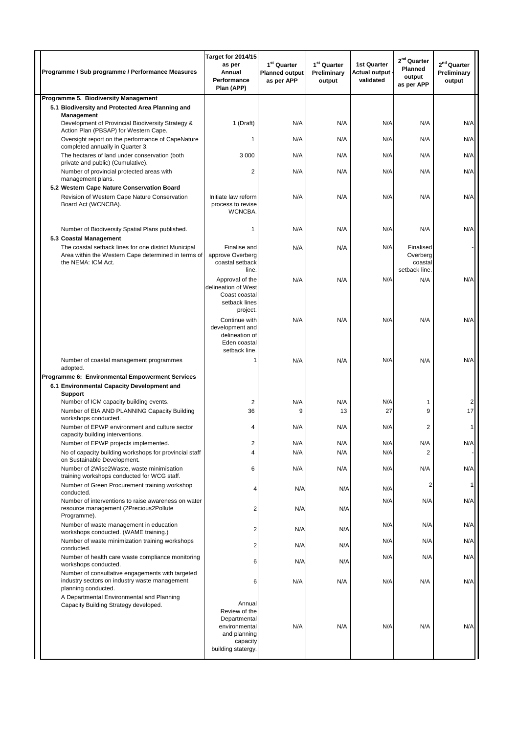| Programme / Sub programme / Performance Measures                                                                                                 | Target for 2014/15<br>as per<br>Annual<br>Performance<br>Plan (APP)                                        | 1 <sup>st</sup> Quarter<br><b>Planned output</b><br>as per APP | 1 <sup>st</sup> Quarter<br>Preliminary<br>output | <b>1st Quarter</b><br><b>Actual output -</b><br>validated | $2nd$ Quarter<br>Planned<br>output<br>as per APP | $2nd$ Quarter<br>Preliminary<br>output |
|--------------------------------------------------------------------------------------------------------------------------------------------------|------------------------------------------------------------------------------------------------------------|----------------------------------------------------------------|--------------------------------------------------|-----------------------------------------------------------|--------------------------------------------------|----------------------------------------|
| Programme 5. Biodiversity Management<br>5.1 Biodiversity and Protected Area Planning and                                                         |                                                                                                            |                                                                |                                                  |                                                           |                                                  |                                        |
| Management                                                                                                                                       |                                                                                                            |                                                                |                                                  |                                                           |                                                  |                                        |
| Development of Provincial Biodiversity Strategy &<br>Action Plan (PBSAP) for Western Cape.                                                       | 1 (Draft)                                                                                                  | N/A                                                            | N/A                                              | N/A                                                       | N/A                                              | N/A                                    |
| Oversight report on the performance of CapeNature<br>completed annually in Quarter 3.                                                            | 1                                                                                                          | N/A                                                            | N/A                                              | N/A                                                       | N/A                                              | N/A                                    |
| The hectares of land under conservation (both                                                                                                    | 3 0 0 0                                                                                                    | N/A                                                            | N/A                                              | N/A                                                       | N/A                                              | N/A                                    |
| private and public) (Cumulative).<br>Number of provincial protected areas with                                                                   | 2                                                                                                          | N/A                                                            | N/A                                              | N/A                                                       | N/A                                              | N/A                                    |
| management plans.<br>5.2 Western Cape Nature Conservation Board                                                                                  |                                                                                                            |                                                                |                                                  |                                                           |                                                  |                                        |
| Revision of Western Cape Nature Conservation<br>Board Act (WCNCBA).                                                                              | Initiate law reform<br>process to revise<br>WCNCBA.                                                        | N/A                                                            | N/A                                              | N/A                                                       | N/A                                              | N/A                                    |
| Number of Biodiversity Spatial Plans published.<br>5.3 Coastal Management                                                                        | 1                                                                                                          | N/A                                                            | N/A                                              | N/A                                                       | N/A                                              | N/A                                    |
| The coastal setback lines for one district Municipal<br>Area within the Western Cape determined in terms of<br>the NEMA: ICM Act.                | Finalise and<br>approve Overberg<br>coastal setback                                                        | N/A                                                            | N/A                                              | N/A                                                       | Finalised<br>Overberg<br>coastal                 |                                        |
|                                                                                                                                                  | line.<br>Approval of the<br>delineation of West<br>Coast coastal<br>setback lines<br>project.              | N/A                                                            | N/A                                              | N/A                                                       | setback line.<br>N/A                             | N/A                                    |
|                                                                                                                                                  | Continue with<br>development and<br>delineation of<br>Eden coastal<br>setback line.                        | N/A                                                            | N/A                                              | N/A                                                       | N/A                                              | N/A                                    |
| Number of coastal management programmes<br>adopted.                                                                                              |                                                                                                            | N/A                                                            | N/A                                              | N/A                                                       | N/A                                              | N/A                                    |
| Programme 6: Environmental Empowerment Services                                                                                                  |                                                                                                            |                                                                |                                                  |                                                           |                                                  |                                        |
| 6.1 Environmental Capacity Development and<br>Support                                                                                            |                                                                                                            |                                                                |                                                  |                                                           |                                                  |                                        |
| Number of ICM capacity building events.                                                                                                          | 2                                                                                                          | N/A<br>9                                                       | N/A                                              | N/A<br>27                                                 | 1<br>9                                           | 17                                     |
| Number of EIA AND PLANNING Capacity Building<br>workshops conducted.                                                                             | 36                                                                                                         |                                                                | 13                                               |                                                           |                                                  |                                        |
| Number of EPWP environment and culture sector<br>capacity building interventions.                                                                | 4                                                                                                          | N/A                                                            | N/A                                              | N/A                                                       | $\overline{2}$                                   |                                        |
| Number of EPWP projects implemented.<br>No of capacity building workshops for provincial staff                                                   | 2<br>4                                                                                                     | N/A<br>N/A                                                     | N/A<br>N/A                                       | N/A<br>N/A                                                | N/A<br>$\overline{2}$                            | N/A                                    |
| on Sustainable Development.                                                                                                                      |                                                                                                            |                                                                |                                                  |                                                           |                                                  |                                        |
| Number of 2Wise2Waste, waste minimisation<br>training workshops conducted for WCG staff.                                                         | 6                                                                                                          | N/A                                                            | N/A                                              | N/A                                                       | N/A                                              | N/A                                    |
| Number of Green Procurement training workshop<br>conducted.                                                                                      |                                                                                                            | N/A                                                            | N/A                                              | N/A                                                       | 2                                                |                                        |
| Number of interventions to raise awareness on water<br>resource management (2Precious2Pollute                                                    |                                                                                                            | N/A                                                            | N/A                                              | N/A                                                       | N/A                                              | N/A                                    |
| Programme).<br>Number of waste management in education<br>workshops conducted. (WAME training.)                                                  | 2                                                                                                          | N/A                                                            | N/A                                              | N/A                                                       | N/A                                              | N/A                                    |
| Number of waste minimization training workshops                                                                                                  | 2                                                                                                          | N/A                                                            | N/A                                              | N/A                                                       | N/A                                              | N/A                                    |
| conducted.<br>Number of health care waste compliance monitoring                                                                                  | 6                                                                                                          | N/A                                                            | N/A                                              | N/A                                                       | N/A                                              | N/A                                    |
| workshops conducted.<br>Number of consultative engagements with targeted<br>industry sectors on industry waste management<br>planning conducted. | 6                                                                                                          | N/A                                                            | N/A                                              | N/A                                                       | N/A                                              | N/A                                    |
| A Departmental Environmental and Planning<br>Capacity Building Strategy developed.                                                               | Annual<br>Review of the<br>Departmental<br>environmental<br>and planning<br>capacity<br>building statergy. | N/A                                                            | N/A                                              | N/A                                                       | N/A                                              | N/A                                    |